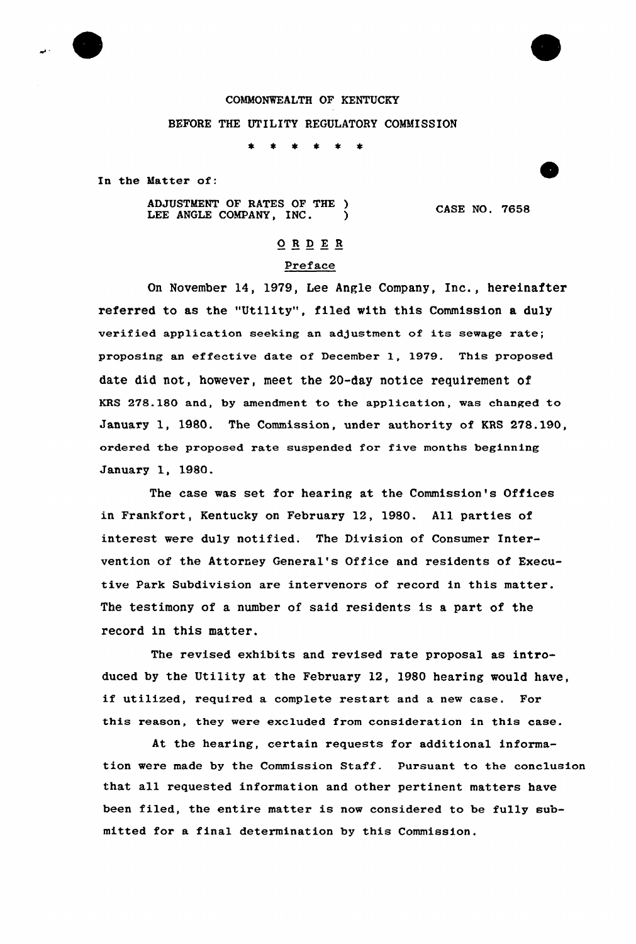

## COMMONWEALTH OF KENTUCKY

## BEFORE THE UTILITY REGULATORY COMMISSION

- 本 - 本  $\bullet$ 

In the Matter of:

ADJUSTMENT OF RATES OF THE )<br>LEE ANGLE COMPANY, INC. LEE ANGLE COMPANY, INC.

CASE NO. 7658

## 0RDE <sup>R</sup>

## Preface

On November 14, 1979, Lee Angle Company, Inc., hereinafter referred to as the "Utility", filed with this Commission a duly verified application seeking an adjustment of its sewage rate; proposing an effective date of December 1, 1979. This proposed date did not, however, meet the 20-day notice requirement of KRS 278.180 and, by amendment to the application, was changed to January 1, 1980. The Commission, under authority of KRS 278.190, ordered the proposed rate suspended for five months beginning January 1, 1980.

The case was set for hearing at the Commission's Offices in Frankfort, Kentucky on February 12, 1980. All parties of interest were duly notified. The Division of Consumer Intervention of the Attorrey General's Office and residents of Executive Park Subdivision are intervenors of record in this matter. The testimony of a number of said residents is a part of the record in this matter.

The revised exhibits and revised rate proposal as introduced by the Utility at the February 12, 1980 hearing would have, if utilized, required a complete restart and a new case. For this reason, they were excluded from consideration in this case.

At the hearing, certain requests for additional information were made by the Commission Staff. Pursuant to the conclusion that all requested information and other pertinent matters have been filed, the entire matter is now considered to be fully submitted for a final determination by this Commission.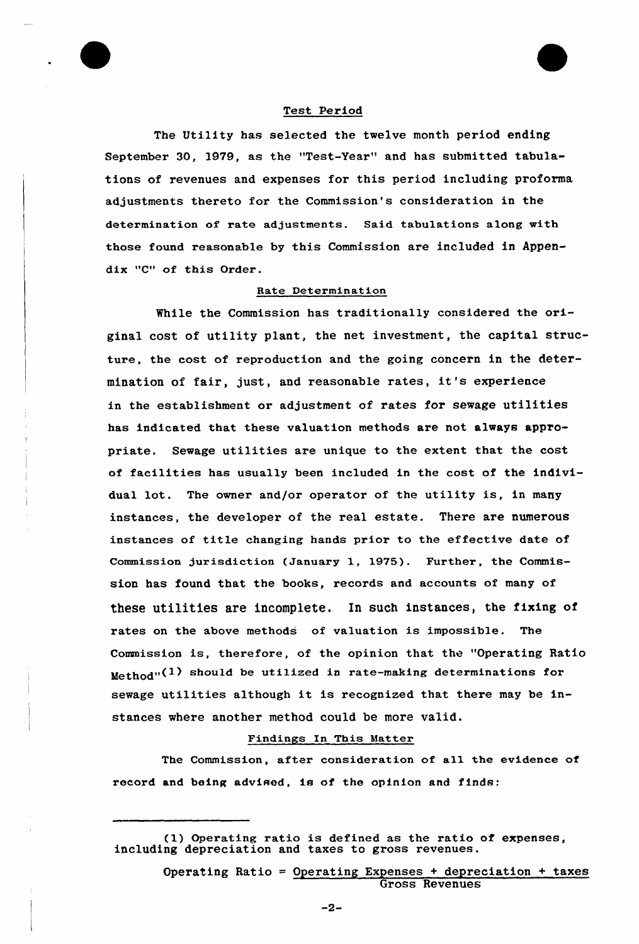

The Utility has selected the twelve month period ending September 30, 1979, as the "Test-Year" and has submitted tabulations of revenues and expenses for this period including proforma adjustments thereto for the Commission's consideration in the determination of rate adjustments. Said tabulations along with those found reasonable by this Commission are included in Appendix "C" of this Order.

## Rate Determination

While the Commission has traditionally considered the original cost of utility plant, the net investment, the capital structure, the cost of reproduction and the going concern in the determination of fair, just, and reasonable rates, it's experience in the establishment or adjustment of rates for sewage utilities has indicated that these valuation methods are not always appropriate. Sewage utilities are unique to the extent that the cost of facilities has usually been included in the cost of the individual lot. The owner and/or operator of the utility is, in many instances, the developer of the real estate. There are numerous instances of title changing hands prior to the effective date of Commission jurisdiction (January 1, 1975). Further, the Commission has found that the books, records and accounts of many of these utilities are incomplete. In such instances, the fixing of rates on the above methods of valuation is impossible. The Commission is, therefore, of the opinion that the "Operating Ratio  $Method''$ <sup>(1)</sup> should be utilized in rate-making determinations for sewage utilities although it is recognized that there may be instances where another method could be more valid.

## Findings In This Matter

The Commission, after consideration of all the evidence of record and being advised, is of the opinion and finds:

(1) Operating ratio is defined as the ratio of expenses including depreciation and taxes to gross

> Operating Ratio = Operating Expenses + depreciation + taxes Gross Revenues

> > $-2-$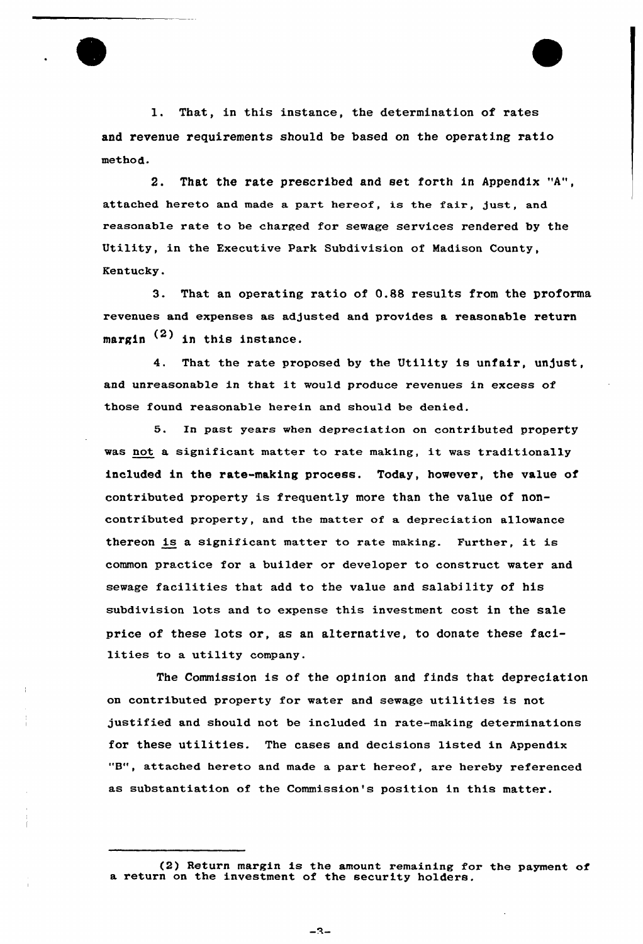1. That, in this instance, the determination of rates and revenue requirements should be based on the operating ratio method.

2. That the rate prescribed and set forth in Appendix "A", attached hereto and made a part hereof, is the fair, just, and reasonable rate to be charged for sewage services rendered by the Utility, in the Executive Park Subdivision of Madison County, Kentucky.

3. That an operating ratio of 0.88 results from the proforma revenues and expenses as adjusted and provides a reasonable return margin  $(2)$  in this instance.

4. That the rate proposed by the Utility is unfair, unjust, and unreasonable in that it would produce revenues in excess of those found reasonable herein and should be denied.

5. In past years when depreciation on contributed property was not <sup>a</sup> significant matter to rate making, it was traditionally included in the rate-making process. Today, however, the value of contributed property is frequently more than the value of noncontributed property, and the matter of a depreciation allowance thereon is <sup>a</sup> significant matter to rate making. Further, it is common practice for a builder or developer to construct water and sewage facilities that add to the value and salability of his subdivision lots and to expense this investment cost in the sale price of these lots or, as an alternative, to donate these facilities to a utility company.

The Commission is of the opinion and finds that depreciation on contributed property for water and sewage utilities is not justified and should not be included in rate-making determinations for these utilities. The cases and decisions listed in Appendix "B", attached hereto and made <sup>a</sup> part hereof, are hereby referenced as substantiation of the Commission's position in this matter.

 $-3-$ 

<sup>(2)</sup> Return margin is the amount remaining for the payment of a return on the investment of the security holders.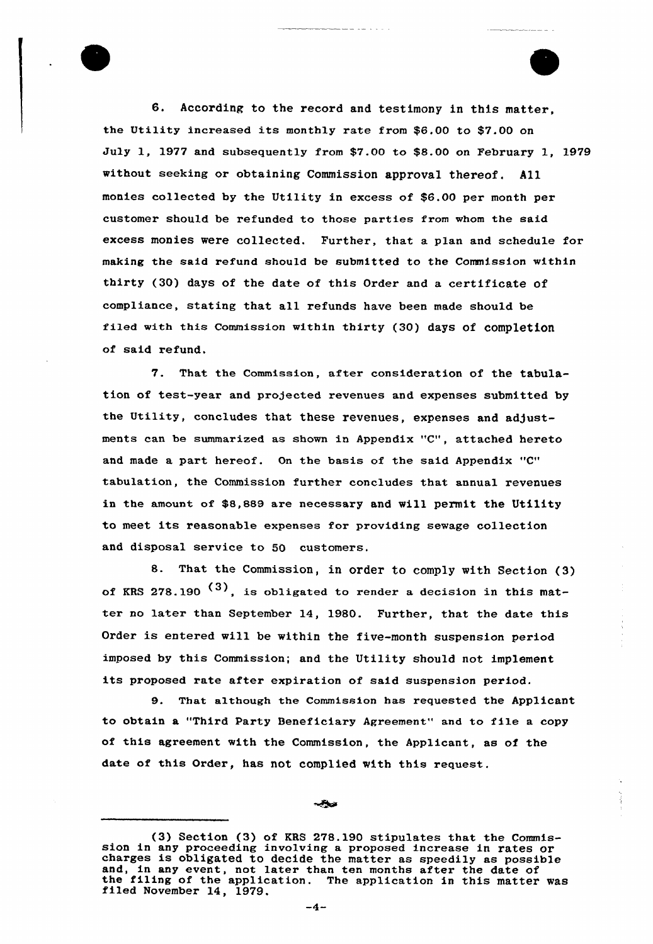6. According to the record and testimony in this matter, the Utility increased its monthly rate from \$6.00 to \$7.00 on July 1, 1977 and subsequently from \$7.00 to \$8.00 on February 1, 1979 without seeking or obtaining Commission approval thereof. A11 monies collected by the Utility in excess of \$6.00 per month per customer should be refunded to those parties from whom the said excess monies were collected. Further, that a plan and schedule for making the said refund should be submitted to the Commission within thirty (30) days of the date of this Order and a certificate of compliance, stating that all refunds have been made should be filed with this Commission within thirty (30) days of completion of said refund.

7. That the Commission, after consideration of the tabulation of test-year and projected revenues and expenses submitted by the Utility, concludes that these revenues, expenses and adjustments can be summarized as shown in Appendix "C", attached hereto and made a part hereof. On the basis of the said Appendix "C" tabulation, the Commission further concludes that annual revenues in the amount of \$8,889 are necessary and will permit the Utility to meet its reasonable expenses for providing sewage collection and disposal service to 50 customers.

8. That the Commission, in order to comply with Section (3) of KRS 278.190  $^{(3)}$ , is obligated to render a decision in this matter no later than September 14, 1980. Further, that the date this Order is entered will be within the five-month suspension period imposed by this Commission; and the Utility should not implement its proposed rate after expiration of said suspension period.

9. That a1though the Commission has requested the Applicant to obtain a "Third Party Beneficiary Agreement" and to file a copy of this agreement with the Commission, the Applicant, as of the date of this Order, has not complied with this request.

(3) Section (3) of KRS 278.190 stipulates that the Commis- sion in any proceeding involving <sup>a</sup> proposed increase in rates or charges is obligated to decide the matter as speedily as possible and, in any event, not later than ten months after the date of the filing of the application. The application in this matter was filed November 14, 1979.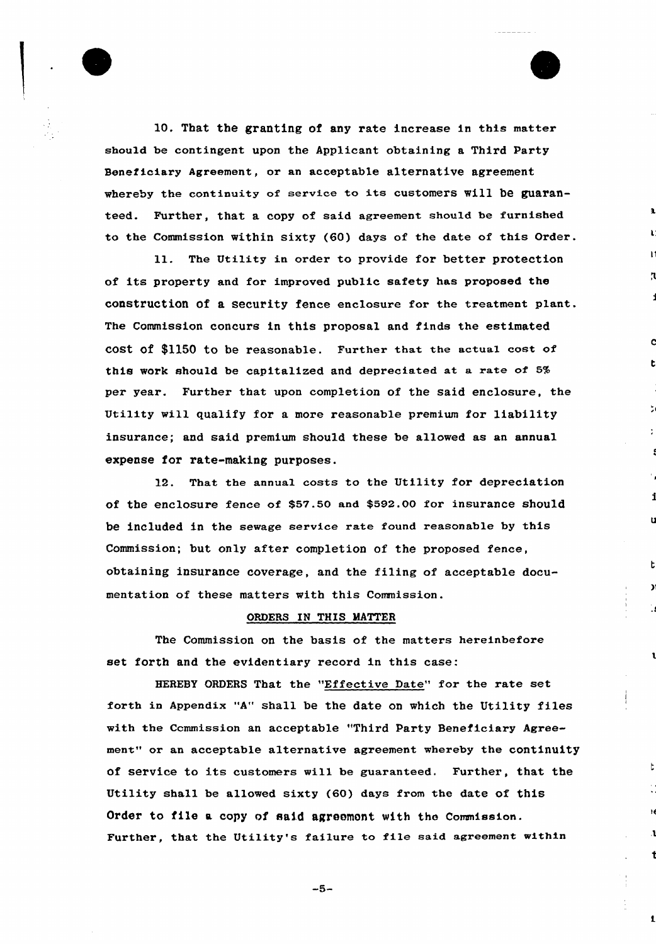

10. That the granting of any rate increase in this matter should be contingent upon the Applicant obtaining a Third Party Beneficiary Agreement, or an acceptable alternative agreement whereby the continuity of service to its customers Will be guaranteed. Further, that a copy of said agreement should be furnished to the Commission within sixty (60) days of the date of this Order.

ll. The Utility in order to provide for better protection of its property and for improved public safety has proposed the construction of a security fence enclosure for the treatment plant. The Commission concurs in this proposal and finds the estimated cost of \$1150 to be reasonable. Further that the actual cost of this work should be capitalized and depreciated at a rate of 5% per year. Further that upon completion of the said enclosure, the Utility will qualify for a more reasonable premium for liability insuxance; and said premium should these be allowed as an annual expense for rate-making puxposes.

12. That the annual costs to the Utility for depreciation of the enclosure fence of \$57.50 and \$592.00 for insurance should be included in the sewage sexvice rate found reasonable by this Commission; but only after completion of the proposed fence, obtaining insurance covexage, and the filing of acceptable documentation of these matters with this Commission.

## ORDERS IN THIS MATTER

The Commission on the basis of the matters hereinbefore set forth and the evidentiary record in this case:

HEREBY ORDERS That the "Effective Date" for the rate set forth in Appendix "A" shall be the date on which the Utility files with the Ccmmission an acceptable "Third Party Beneficiary Agreement" or an acceptable alternative agreement whereby the continuity of service to its customers will be guaranteed. Further, that the Utility shall be allowed sixty (60) days from the date of this Order to file a copy of said agreomont with the Commission. Further, that the Utility's failure to file said agreement within

 $-5-$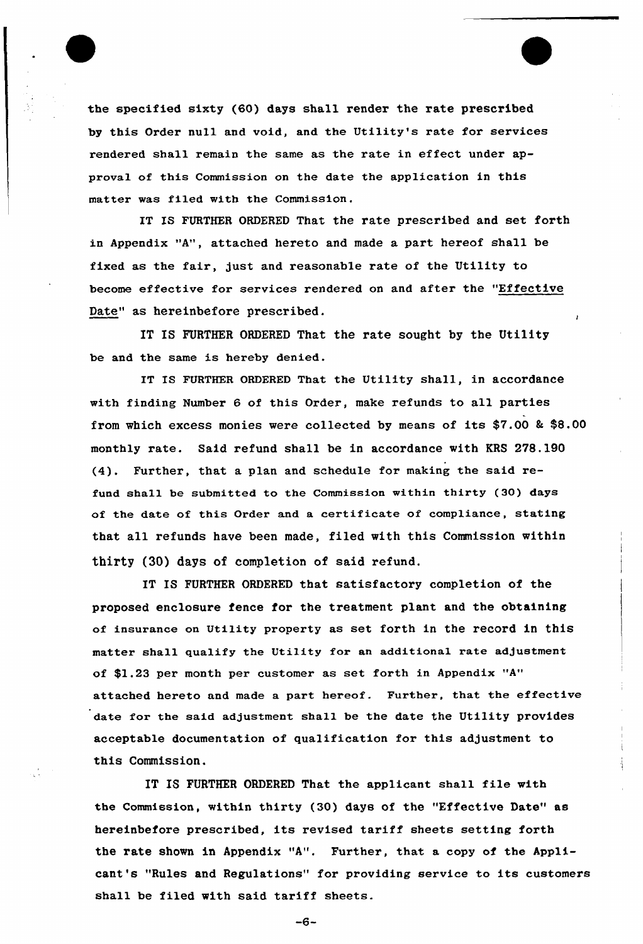the specified sixty (60) days shall render the rate prescribed by this Order null and void, and the Utility's rate for services rendered shall remain the same as the rate in effect under approval of this Commission on the date the application in this matter was filed with the Commission,

IT IS FURTHER ORDERED That the rate prescribed and set forth in Appendix "A", attached hereto and made a part hereof shall be fixed as the fair, just and reasonable rate of the Utility to become effective for services rendered on and after the "Effective Date" as hereinbefore prescribed.

IT IS FURTHER ORDERED That the rate sought by the Uti1ity be and the same is hereby denied.

IT Is FURTHER 0RDERED That the Utility shall, in accordance with finding Number 6 of this Order, make refunds to all parties from which excess monies were collected by means of its  $$7.00$  & \$8.00 monthly rate. Said refund shall be in accordance with KRS 278.190 (4). Further, that a plan and schedule for making the said refund shall be submitted to the Commission within thirty (30) days of the date of this Order and a certificate of compliance, stating that all refunds have been made, filed with this Commission within thirty (30) days of completion of said refund.

IT IS FURTHER ORDERED that satisfactory completion of the proposed enclosure fence for the treatment plant and the obtaining of insurance on Utility property as set forth in the record in this matter shall qualify the Utility for an additional rate adjustment of \$1.23 per month per customer as set forth in Appendix "A" attached hereto and made a part hereof. Further, that the effective date for the said adjustment shall be the date the Utility provides acceptable documentation of qualification for this adjustment to this Commission.

IT IS FURTHER ORDERED That the applicant shall file with the Commission, within thirty (30) days of the "Effective Date" as hereinbefore prescribed, its revised tariff sheets setting forth the rate shown in Appendix "A". Further, that a copy of the Applicant's "Rules and Regulations" for providing service to its customers shall be filed with said tariff sheets.

 $-6-$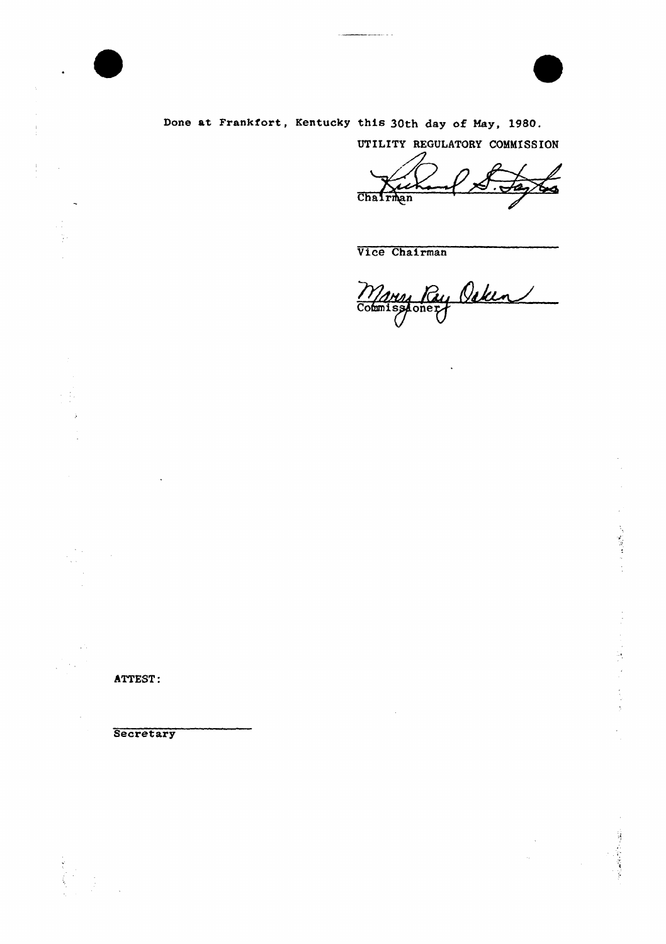Done at Frankfort, Kentucky this 30th day of May, 1980.

UTILITY REGULATORY COMMISSION

Chairman

Vice Chairman

Many Ry Osken 

 $\ddot{\phantom{a}}$ 

ATTEST:

V.

医心理学

 $\hat{\textbf{z}}$ 

# **Secretary**

 $\sim$   $\sim$  $\hat{\mathcal{A}}$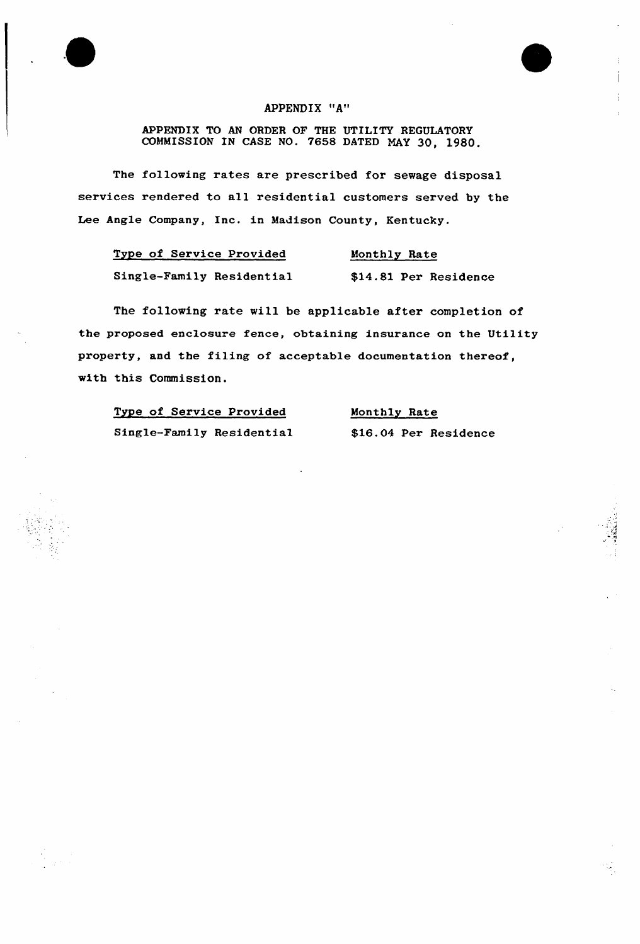## APPENDIX "A"

APPENDIX TO AN ORDER OF THE UTILITY REGULATORY COMMISSION IN CASE NO. 7658 DATED MAY 30, 1980.

The following rates are prescribed for sewage disposal services rendered to all residential customers served by the Lee Angle Company, Inc. in Madison County, Kentucky.

| Type of Service Provided  | Monthly Rate          |
|---------------------------|-----------------------|
| Single-Family Residential | \$14.81 Per Residence |

The following rate will be applicable after completion of the proposed enclosure fence, obtaining insurance on the Utility property, and the filing of acceptable documentation thereof, with this Commission.

Type of Service Provided Single-Family Residential

Monthly Rate \$16.04 Per Residence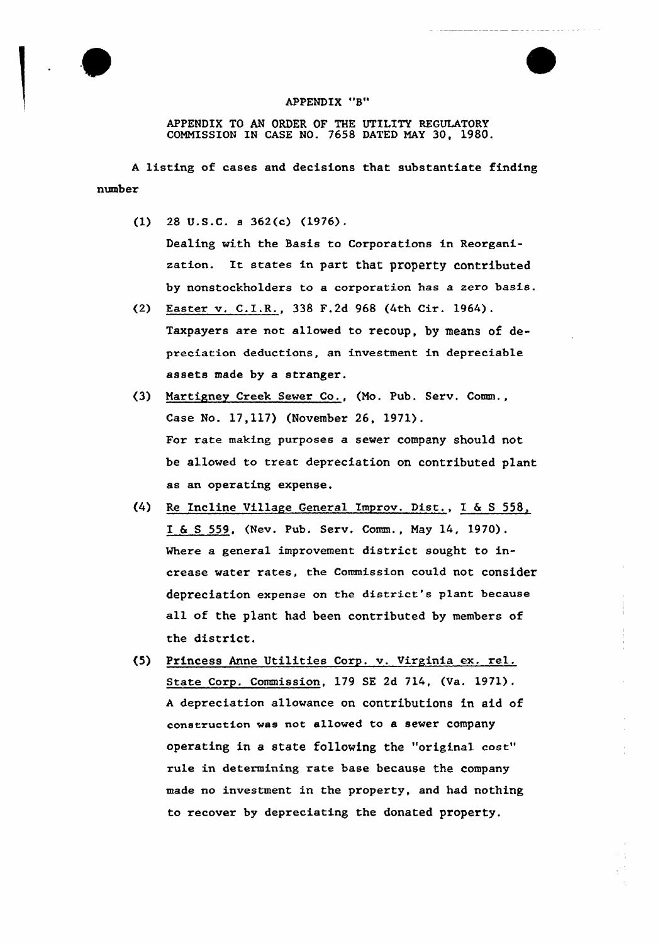

## APPENDIX "B"

APPENDIX TO AN ORDER OF THE UTILITY REGULATORY COMNISSION IN CASE NO. 7658 DATED NAY 30, 1980.

<sup>A</sup> listing of cases and decisions that substantiate finding number

- (1) 28 U.S.C. s 362(c) (1976). Dealing with the Basis to Corporations in Reorganization. It states in part that property contributed by nonstockholders to a corporation has a zero basis.
- (2) Easter v. C.E.R., 338 F.2d 968 (4th Cir. 1964). Taxpayers are not allowed to recoup, by means of depreciation deductions, an investment in depreciable assets made by a stranger.
- (3) Martigney Creek Sewer Co., (Mo. Pub. Serv, Comm., Case No. 17,117) (November 26, 1971). For xate making purposes a sewer company should not be allowed to treat depreciation on contributed plant as an operating expense.
- (4) Re Incline Village General Improv. Dist., I & <sup>S</sup> 558, I & <sup>S</sup> 559, (Nev. Pub. Serv. Comm., May 14, 1970). Where a general improvement district sought to increase water rates, the Commission could not consider depreciation expense on the district's plant because all of the plant had been contributed by members of the district.
- (5) Princess Anne Utilities Corp. v. Virginia ex. rel. State Corp. Commission, 179 SE 2d 714, (Va. 1971). <sup>A</sup> depreciation allowance on contributions in aid of construction was not allowed to a sewer company operating in a state following the "original cost" rule in determining rate base because the company made no investment in the property, and had nothing to recover by depreciating the donated property.